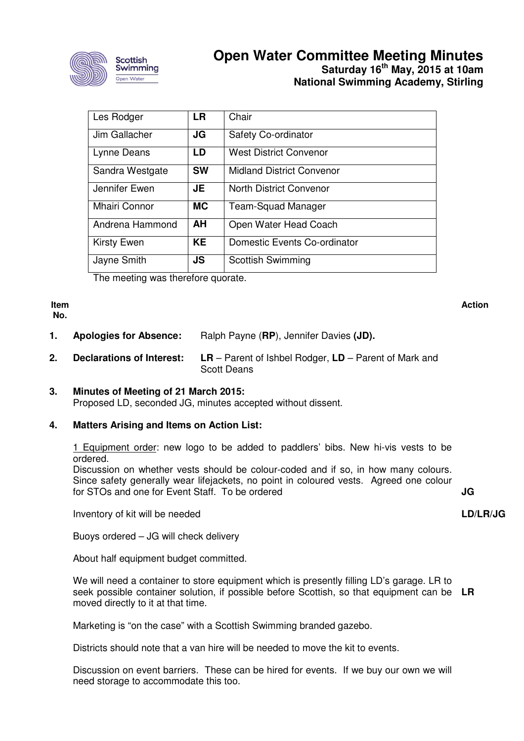

## **Open Water Committee Meeting Minutes Saturday 16th May, 2015 at 10am National Swimming Academy, Stirling**

| Les Rodger           | <b>LR</b> | Chair                            |
|----------------------|-----------|----------------------------------|
| Jim Gallacher        | JG        | Safety Co-ordinator              |
| Lynne Deans          | LD        | <b>West District Convenor</b>    |
| Sandra Westgate      | <b>SW</b> | <b>Midland District Convenor</b> |
| Jennifer Ewen        | <b>JE</b> | <b>North District Convenor</b>   |
| <b>Mhairi Connor</b> | <b>MC</b> | Team-Squad Manager               |
| Andrena Hammond      | AH        | Open Water Head Coach            |
| <b>Kirsty Ewen</b>   | <b>KE</b> | Domestic Events Co-ordinator     |
| Jayne Smith          | <b>JS</b> | <b>Scottish Swimming</b>         |

The meeting was therefore quorate.

**Item No.** 

**Action**

- **1. Apologies for Absence:** Ralph Payne (**RP**), Jennifer Davies **(JD).**
- **2. Declarations of Interest: LR**  Parent of Ishbel Rodger, **LD** Parent of Mark and Scott Deans

#### **3. Minutes of Meeting of 21 March 2015:** Proposed LD, seconded JG, minutes accepted without dissent.

#### **4. Matters Arising and Items on Action List:**

1 Equipment order: new logo to be added to paddlers' bibs. New hi-vis vests to be ordered.

Discussion on whether vests should be colour-coded and if so, in how many colours. Since safety generally wear lifejackets, no point in coloured vests. Agreed one colour for STOs and one for Event Staff. To be ordered

Inventory of kit will be needed

Buoys ordered – JG will check delivery

About half equipment budget committed.

We will need a container to store equipment which is presently filling LD's garage. LR to seek possible container solution, if possible before Scottish, so that equipment can be **LR** moved directly to it at that time.

Marketing is "on the case" with a Scottish Swimming branded gazebo.

Districts should note that a van hire will be needed to move the kit to events.

Discussion on event barriers. These can be hired for events. If we buy our own we will need storage to accommodate this too.

**JG** 

**LD/LR/JG**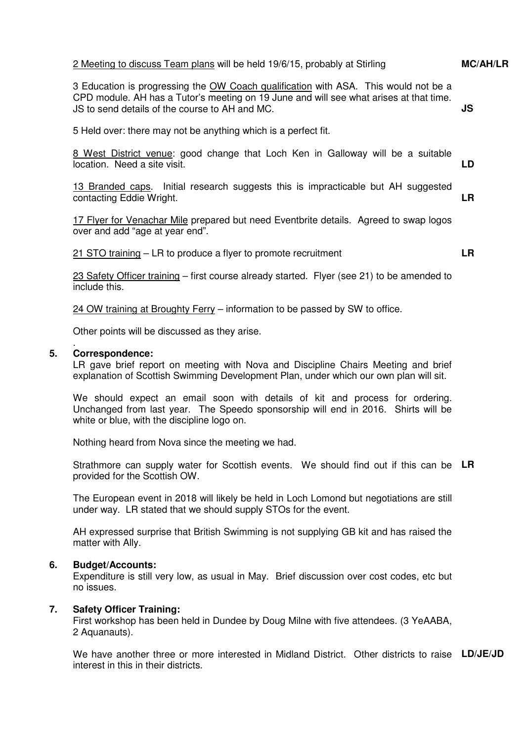#### 2 Meeting to discuss Team plans will be held 19/6/15, probably at Stirling

3 Education is progressing the OW Coach qualification with ASA. This would not be a CPD module. AH has a Tutor's meeting on 19 June and will see what arises at that time. JS to send details of the course to AH and MC. **JS** 

5 Held over: there may not be anything which is a perfect fit.

8 West District venue: good change that Loch Ken in Galloway will be a suitable location. Need a site visit. **LD** 

13 Branded caps. Initial research suggests this is impracticable but AH suggested contacting Eddie Wright. **LR** 

17 Flyer for Venachar Mile prepared but need Eventbrite details. Agreed to swap logos over and add "age at year end".

21 STO training – LR to produce a flyer to promote recruitment

**LR** 

23 Safety Officer training – first course already started. Flyer (see 21) to be amended to include this.

24 OW training at Broughty Ferry – information to be passed by SW to office.

Other points will be discussed as they arise.

#### . **5. Correspondence:**

LR gave brief report on meeting with Nova and Discipline Chairs Meeting and brief explanation of Scottish Swimming Development Plan, under which our own plan will sit.

We should expect an email soon with details of kit and process for ordering. Unchanged from last year. The Speedo sponsorship will end in 2016. Shirts will be white or blue, with the discipline logo on.

Nothing heard from Nova since the meeting we had.

Strathmore can supply water for Scottish events. We should find out if this can be **LR**  provided for the Scottish OW.

The European event in 2018 will likely be held in Loch Lomond but negotiations are still under way. LR stated that we should supply STOs for the event.

AH expressed surprise that British Swimming is not supplying GB kit and has raised the matter with Ally.

#### **6. Budget/Accounts:**

Expenditure is still very low, as usual in May. Brief discussion over cost codes, etc but no issues.

#### **7. Safety Officer Training:**

First workshop has been held in Dundee by Doug Milne with five attendees. (3 YeAABA, 2 Aquanauts).

We have another three or more interested in Midland District. Other districts to raise **LD/JE/JD** interest in this in their districts.

#### **MC/AH/LR**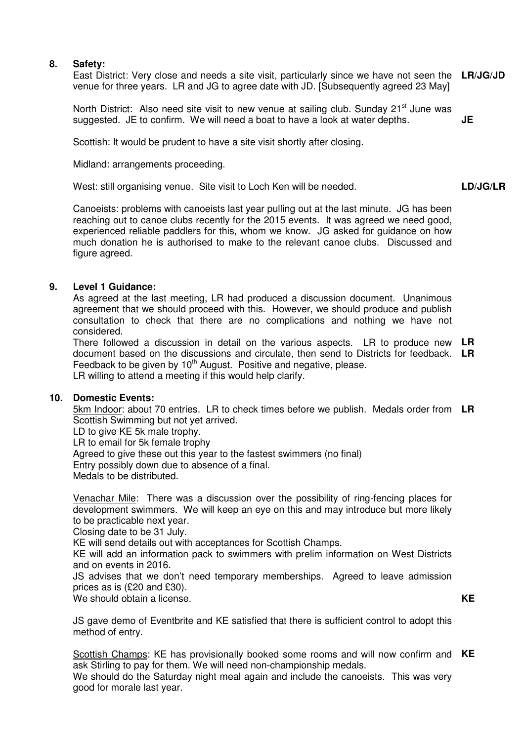## **8. Safety:**

East District: Very close and needs a site visit, particularly since we have not seen the **LR/JG/JD**  venue for three years. LR and JG to agree date with JD. [Subsequently agreed 23 May]

North District: Also need site visit to new venue at sailing club. Sunday 21<sup>st</sup> June was suggested. JE to confirm. We will need a boat to have a look at water depths. **JE** 

Scottish: It would be prudent to have a site visit shortly after closing.

Midland: arrangements proceeding.

West: still organising venue. Site visit to Loch Ken will be needed.

Canoeists: problems with canoeists last year pulling out at the last minute. JG has been reaching out to canoe clubs recently for the 2015 events. It was agreed we need good, experienced reliable paddlers for this, whom we know. JG asked for guidance on how much donation he is authorised to make to the relevant canoe clubs. Discussed and figure agreed.

#### **9. Level 1 Guidance:**

As agreed at the last meeting, LR had produced a discussion document. Unanimous agreement that we should proceed with this. However, we should produce and publish consultation to check that there are no complications and nothing we have not considered.

There followed a discussion in detail on the various aspects. LR to produce new **LR**  document based on the discussions and circulate, then send to Districts for feedback. **LR**  Feedback to be given by  $10<sup>th</sup>$  August. Positive and negative, please. LR willing to attend a meeting if this would help clarify.

#### **10. Domestic Events:**

5km Indoor: about 70 entries. LR to check times before we publish. Medals order from Scottish Swimming but not yet arrived. **LR** 

LD to give KE 5k male trophy.

LR to email for 5k female trophy

Agreed to give these out this year to the fastest swimmers (no final)

Entry possibly down due to absence of a final.

Medals to be distributed.

Venachar Mile: There was a discussion over the possibility of ring-fencing places for development swimmers. We will keep an eye on this and may introduce but more likely to be practicable next year.

Closing date to be 31 July.

KE will send details out with acceptances for Scottish Champs.

KE will add an information pack to swimmers with prelim information on West Districts and on events in 2016.

JS advises that we don't need temporary memberships. Agreed to leave admission prices as is (£20 and £30).

We should obtain a license.

**KE** 

**LD/JG/LR** 

JS gave demo of Eventbrite and KE satisfied that there is sufficient control to adopt this method of entry.

Scottish Champs: KE has provisionally booked some rooms and will now confirm and **KE** ask Stirling to pay for them. We will need non-championship medals. We should do the Saturday night meal again and include the canoeists. This was very good for morale last year.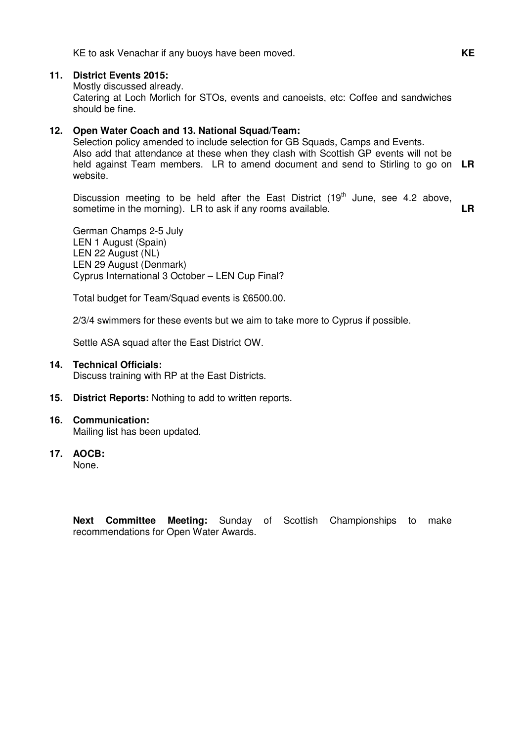KE to ask Venachar if any buoys have been moved. **KE**

## **11. District Events 2015:**

Mostly discussed already. Catering at Loch Morlich for STOs, events and canoeists, etc: Coffee and sandwiches should be fine.

## **12. Open Water Coach and 13. National Squad/Team:**

Selection policy amended to include selection for GB Squads, Camps and Events. Also add that attendance at these when they clash with Scottish GP events will not be held against Team members. LR to amend document and send to Stirling to go on **LR**  website.

Discussion meeting to be held after the East District  $(19<sup>th</sup>$  June, see 4.2 above, sometime in the morning). LR to ask if any rooms available. **LR** 

German Champs 2-5 July LEN 1 August (Spain) LEN 22 August (NL) LEN 29 August (Denmark) Cyprus International 3 October – LEN Cup Final?

Total budget for Team/Squad events is £6500.00.

2/3/4 swimmers for these events but we aim to take more to Cyprus if possible.

Settle ASA squad after the East District OW.

#### **14. Technical Officials:**

Discuss training with RP at the East Districts.

**15. District Reports:** Nothing to add to written reports.

#### **16. Communication:**

Mailing list has been updated.

**17. AOCB:**

None.

**Next Committee Meeting:** Sunday of Scottish Championships to make recommendations for Open Water Awards.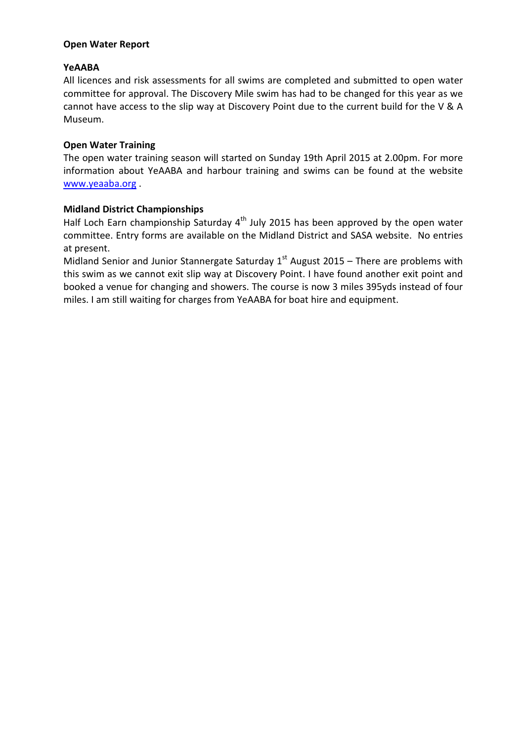#### Open Water Report

## YeAABA

All licences and risk assessments for all swims are completed and submitted to open water committee for approval. The Discovery Mile swim has had to be changed for this year as we cannot have access to the slip way at Discovery Point due to the current build for the V & A Museum.

## Open Water Training

The open water training season will started on Sunday 19th April 2015 at 2.00pm. For more information about YeAABA and harbour training and swims can be found at the website www.yeaaba.org .

## Midland District Championships

Half Loch Earn championship Saturday  $4<sup>th</sup>$  July 2015 has been approved by the open water committee. Entry forms are available on the Midland District and SASA website. No entries at present.

Midland Senior and Junior Stannergate Saturday  $1<sup>st</sup>$  August 2015 – There are problems with this swim as we cannot exit slip way at Discovery Point. I have found another exit point and booked a venue for changing and showers. The course is now 3 miles 395yds instead of four miles. I am still waiting for charges from YeAABA for boat hire and equipment.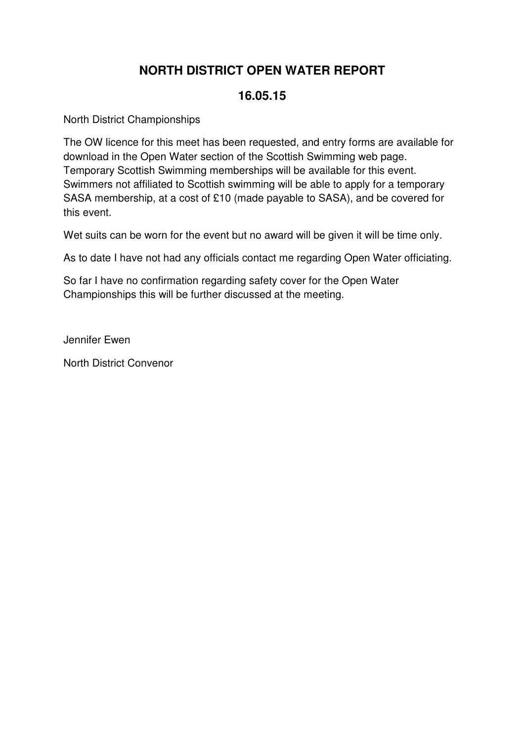# **NORTH DISTRICT OPEN WATER REPORT**

# **16.05.15**

North District Championships

The OW licence for this meet has been requested, and entry forms are available for download in the Open Water section of the Scottish Swimming web page. Temporary Scottish Swimming memberships will be available for this event. Swimmers not affiliated to Scottish swimming will be able to apply for a temporary SASA membership, at a cost of £10 (made payable to SASA), and be covered for this event.

Wet suits can be worn for the event but no award will be given it will be time only.

As to date I have not had any officials contact me regarding Open Water officiating.

So far I have no confirmation regarding safety cover for the Open Water Championships this will be further discussed at the meeting.

Jennifer Ewen

North District Convenor